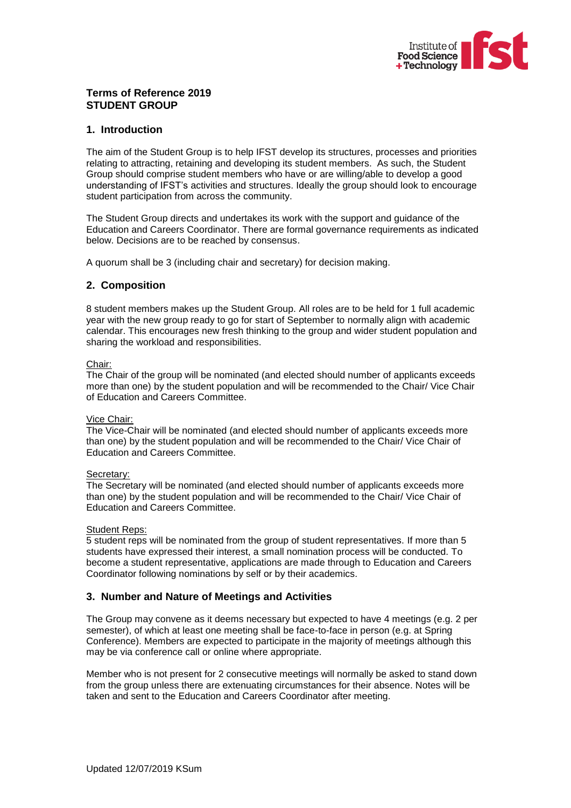

### **Terms of Reference 2019 STUDENT GROUP**

### **1. Introduction**

The aim of the Student Group is to help IFST develop its structures, processes and priorities relating to attracting, retaining and developing its student members. As such, the Student Group should comprise student members who have or are willing/able to develop a good understanding of IFST's activities and structures. Ideally the group should look to encourage student participation from across the community.

The Student Group directs and undertakes its work with the support and guidance of the Education and Careers Coordinator. There are formal governance requirements as indicated below. Decisions are to be reached by consensus.

A quorum shall be 3 (including chair and secretary) for decision making.

## **2. Composition**

8 student members makes up the Student Group. All roles are to be held for 1 full academic year with the new group ready to go for start of September to normally align with academic calendar. This encourages new fresh thinking to the group and wider student population and sharing the workload and responsibilities.

#### Chair:

The Chair of the group will be nominated (and elected should number of applicants exceeds more than one) by the student population and will be recommended to the Chair/ Vice Chair of Education and Careers Committee.

#### Vice Chair:

The Vice-Chair will be nominated (and elected should number of applicants exceeds more than one) by the student population and will be recommended to the Chair/ Vice Chair of Education and Careers Committee.

### Secretary:

The Secretary will be nominated (and elected should number of applicants exceeds more than one) by the student population and will be recommended to the Chair/ Vice Chair of Education and Careers Committee.

#### Student Reps:

5 student reps will be nominated from the group of student representatives. If more than 5 students have expressed their interest, a small nomination process will be conducted. To become a student representative, applications are made through to Education and Careers Coordinator following nominations by self or by their academics.

# **3. Number and Nature of Meetings and Activities**

The Group may convene as it deems necessary but expected to have 4 meetings (e.g. 2 per semester), of which at least one meeting shall be face-to-face in person (e.g. at Spring Conference). Members are expected to participate in the majority of meetings although this may be via conference call or online where appropriate.

Member who is not present for 2 consecutive meetings will normally be asked to stand down from the group unless there are extenuating circumstances for their absence. Notes will be taken and sent to the Education and Careers Coordinator after meeting.